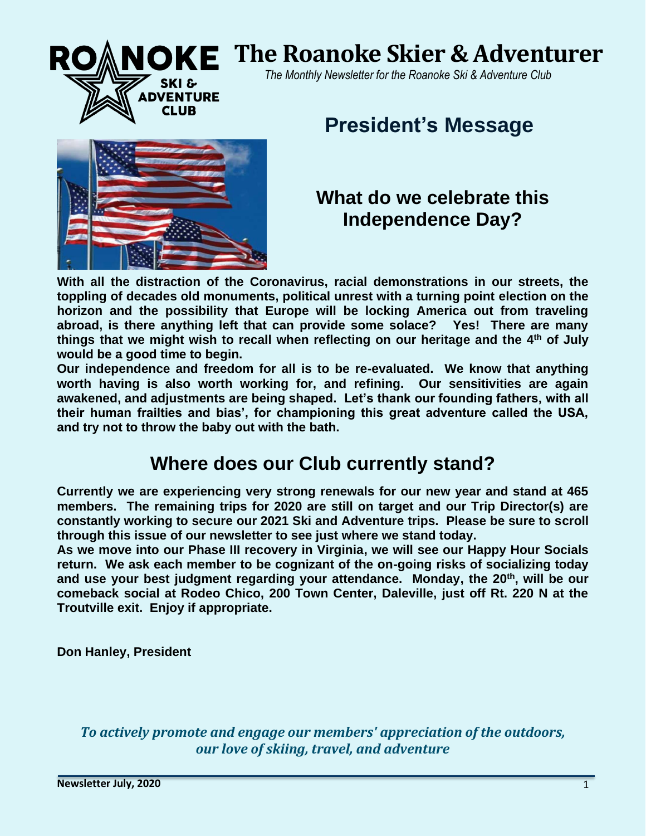# **SKE The Roanoke Skier & Adventurer**

 *The Monthly Newsletter for the Roanoke Ski & Adventure Club* 

# **President's Message**



**DVENTURE CLUB** 

# **What do we celebrate this Independence Day?**

**With all the distraction of the Coronavirus, racial demonstrations in our streets, the toppling of decades old monuments, political unrest with a turning point election on the horizon and the possibility that Europe will be locking America out from traveling abroad, is there anything left that can provide some solace? Yes! There are many things that we might wish to recall when reflecting on our heritage and the 4th of July would be a good time to begin.**

**Our independence and freedom for all is to be re-evaluated. We know that anything worth having is also worth working for, and refining. Our sensitivities are again awakened, and adjustments are being shaped. Let's thank our founding fathers, with all their human frailties and bias', for championing this great adventure called the USA, and try not to throw the baby out with the bath.** 

# **Where does our Club currently stand?**

**Currently we are experiencing very strong renewals for our new year and stand at 465 members. The remaining trips for 2020 are still on target and our Trip Director(s) are constantly working to secure our 2021 Ski and Adventure trips. Please be sure to scroll through this issue of our newsletter to see just where we stand today.** 

**As we move into our Phase III recovery in Virginia, we will see our Happy Hour Socials return. We ask each member to be cognizant of the on-going risks of socializing today and use your best judgment regarding your attendance. Monday, the 20th , will be our comeback social at Rodeo Chico, 200 Town Center, Daleville, just off Rt. 220 N at the Troutville exit. Enjoy if appropriate.**

**Don Hanley, President**

*To actively promote and engage our members' appreciation of the outdoors, our love of skiing, travel, and adventure*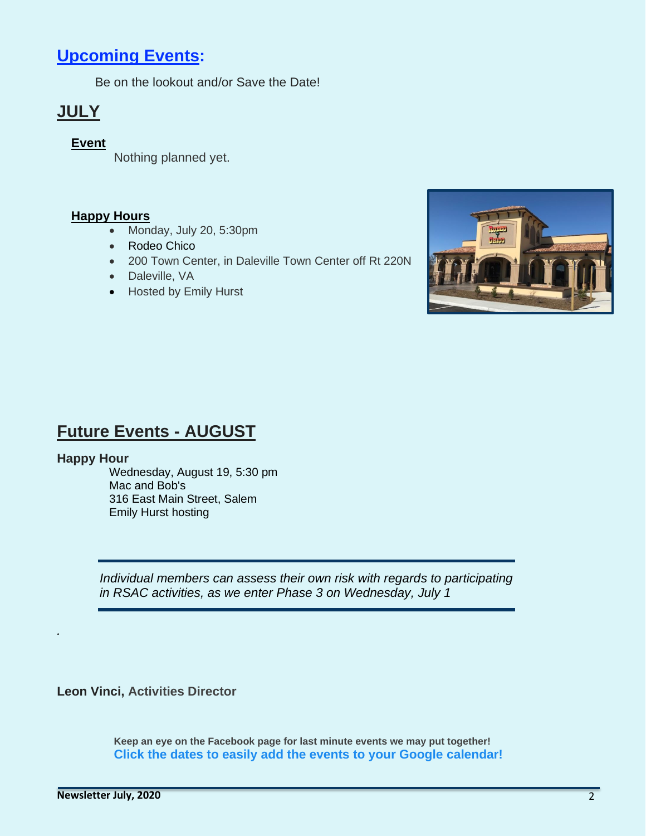# **[Upcoming Events:](https://roanokeskiclub.org/events)**

Be on the lookout and/or Save the Date!

# **JULY**

#### **Event**

Nothing planned yet.

#### **Happy Hours**

- Monday, July 20, 5:30pm
- Rodeo Chico
- 200 Town Center, in Daleville Town Center off Rt 220N
- Daleville, VA
- Hosted by Emily Hurst



# **Future Events - AUGUST**

#### **Happy Hour**

*.*

Wednesday, August 19, 5:30 pm Mac and Bob's 316 East Main Street, Salem Emily Hurst hosting

*Individual members can assess their own risk with regards to participating in RSAC activities, as we enter Phase 3 on Wednesday, July 1*

**Leon Vinci, Activities Director**

**Keep an eye on the Facebook page for last minute events we may put together! Click the dates to easily add the events to your Google calendar!**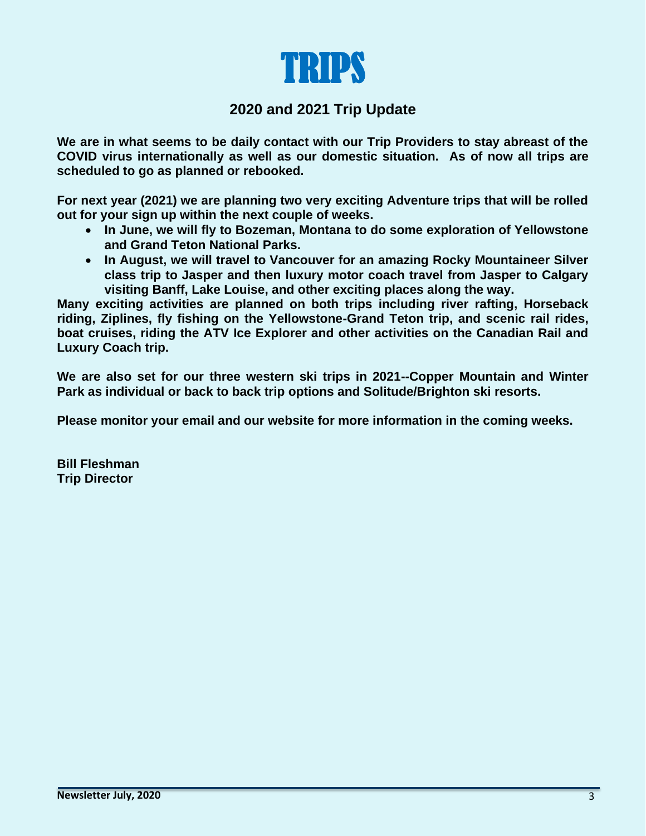

#### **2020 and 2021 Trip Update**

**We are in what seems to be daily contact with our Trip Providers to stay abreast of the COVID virus internationally as well as our domestic situation. As of now all trips are scheduled to go as planned or rebooked.**

**For next year (2021) we are planning two very exciting Adventure trips that will be rolled out for your sign up within the next couple of weeks.**

- **In June, we will fly to Bozeman, Montana to do some exploration of Yellowstone and Grand Teton National Parks.**
- **In August, we will travel to Vancouver for an amazing Rocky Mountaineer Silver class trip to Jasper and then luxury motor coach travel from Jasper to Calgary visiting Banff, Lake Louise, and other exciting places along the way.**

**Many exciting activities are planned on both trips including river rafting, Horseback riding, Ziplines, fly fishing on the Yellowstone-Grand Teton trip, and scenic rail rides, boat cruises, riding the ATV Ice Explorer and other activities on the Canadian Rail and Luxury Coach trip.**

**We are also set for our three western ski trips in 2021--Copper Mountain and Winter Park as individual or back to back trip options and Solitude/Brighton ski resorts.**

**Please monitor your email and our website for more information in the coming weeks.**

**Bill Fleshman Trip Director**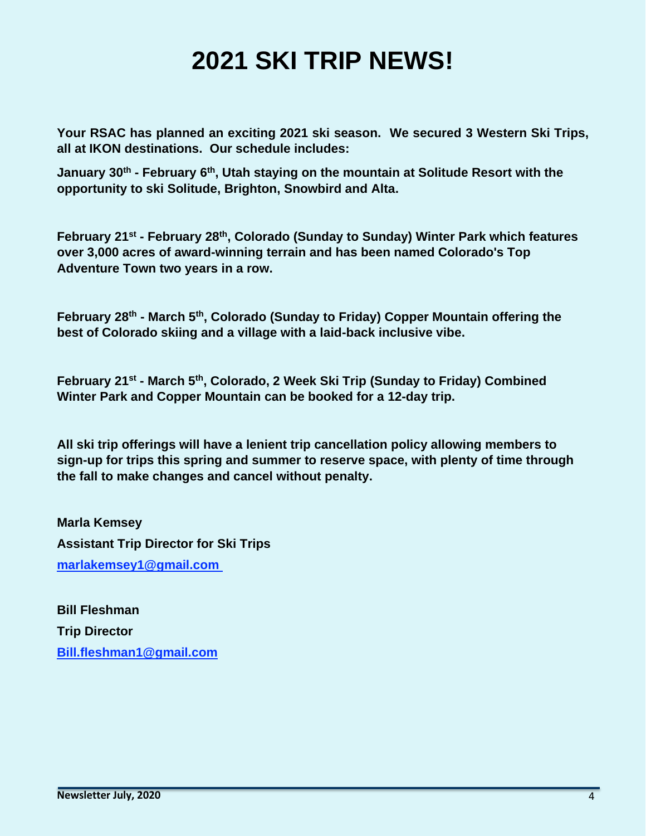# **2021 SKI TRIP NEWS!**

**Your RSAC has planned an exciting 2021 ski season. We secured 3 Western Ski Trips, all at IKON destinations. Our schedule includes:**

**January 30th - February 6th , Utah staying on the mountain at Solitude Resort with the opportunity to ski Solitude, Brighton, Snowbird and Alta.**

**February 21st - February 28th , Colorado (Sunday to Sunday) Winter Park which features over 3,000 acres of award-winning terrain and has been named Colorado's Top Adventure Town two years in a row.**

**February 28th - March 5th , Colorado (Sunday to Friday) Copper Mountain offering the best of Colorado skiing and a village with a laid-back inclusive vibe.**

**February 21st - March 5th , Colorado, 2 Week Ski Trip (Sunday to Friday) Combined Winter Park and Copper Mountain can be booked for a 12-day trip.**

**All ski trip offerings will have a lenient trip cancellation policy allowing members to sign-up for trips this spring and summer to reserve space, with plenty of time through the fall to make changes and cancel without penalty.**

**Marla Kemsey Assistant Trip Director for Ski Trips [marlakemsey1@gmail.com](mailto:marlakemsey1@gmail.com)**

**Bill Fleshman Trip Director [Bill.fleshman1@gmail.com](mailto:Bill.fleshman1@gmail.com)**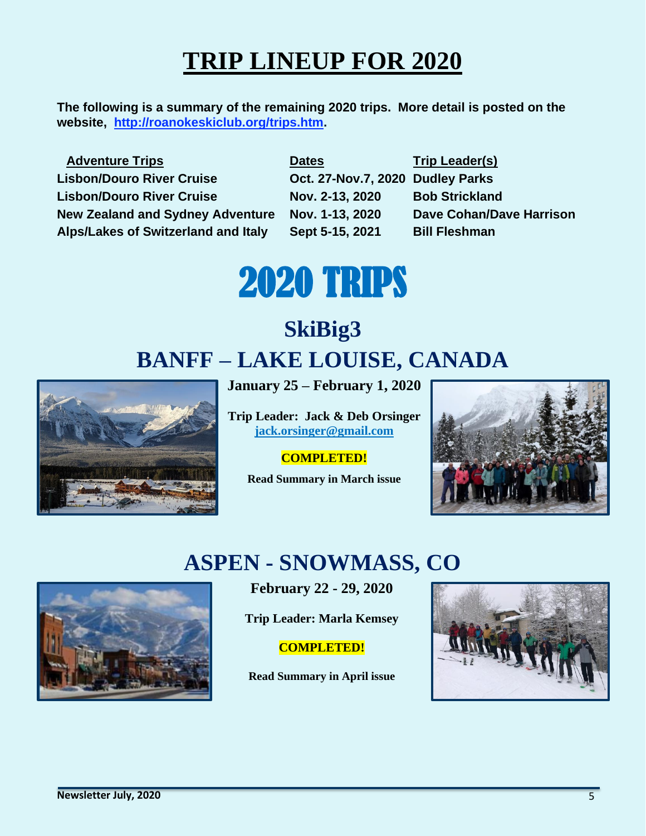# **TRIP LINEUP FOR 2020**

**The following is a summary of the remaining 2020 trips. More detail is posted on the website, [http://roanokeskiclub.org/trips.htm.](http://roanokeskiclub.org/Trips)** 

| <b>Adventure Trips</b>                     |
|--------------------------------------------|
| <b>Lisbon/Douro River Cruise</b>           |
| <b>Lisbon/Douro River Cruise</b>           |
| <b>New Zealand and Sydney Adventure</b>    |
| <b>Alps/Lakes of Switzerland and Italy</b> |

**Dates Trip Leader(s) Lisbon/Douro River Cruise Oct. 27-Nov.7, 2020 Dudley Parks Lisbon/Douro River Cruise Nov. 2-13, 2020 Bob Strickland Alps/Lakes of Switzerland and Italy Sept 5-15, 2021 Bill Fleshman**

**Nov. 1-13, 2020 Dave Cohan/Dave Harrison** 

# 2020 TRIPS

# **SkiBig3 BANFF – LAKE LOUISE, CANADA**



**January 25 – February 1, 2020**

**Trip Leader: Jack & Deb Orsinger [jack.orsinger@gmail.com](mailto:jack.orsinger@gmail.com)**

#### **COMPLETED!**

**Read Summary in March issue**



# **ASPEN - SNOWMASS, CO**



**February 22 - 29, 2020**

**Trip Leader: Marla Kemsey**

#### **COMPLETED!**

**Read Summary in April issue**

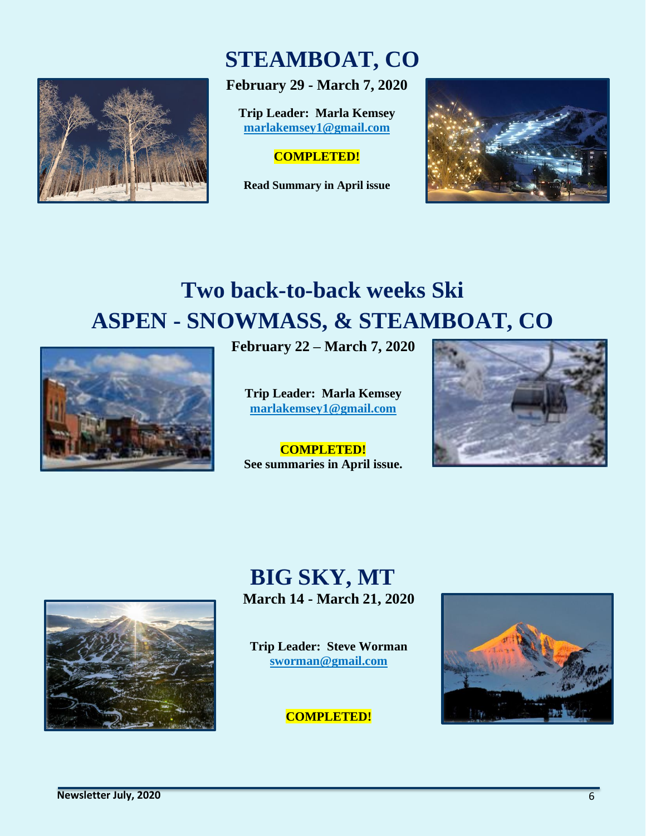

# **STEAMBOAT, CO**

**February 29 - March 7, 2020**

**Trip Leader: Marla Kemsey [marlakemsey1@gmail.com](mailto:marlakemsey1@gmail.com)**

#### **COMPLETED!**

**Read Summary in April issue**



# **Two back-to-back weeks Ski ASPEN - SNOWMASS, & STEAMBOAT, CO**



**February 22 – March 7, 2020**

**Trip Leader: Marla Kemsey [marlakemsey1@gmail.com](mailto:marlakemsey1@gmail.com)**

**COMPLETED! See summaries in April issue.**





# **BIG SKY, MT March 14 - March 21, 2020**

**Trip Leader: Steve Worman [sworman@gmail.com](mailto:sworman@gmail.com)**

#### **COMPLETED!**

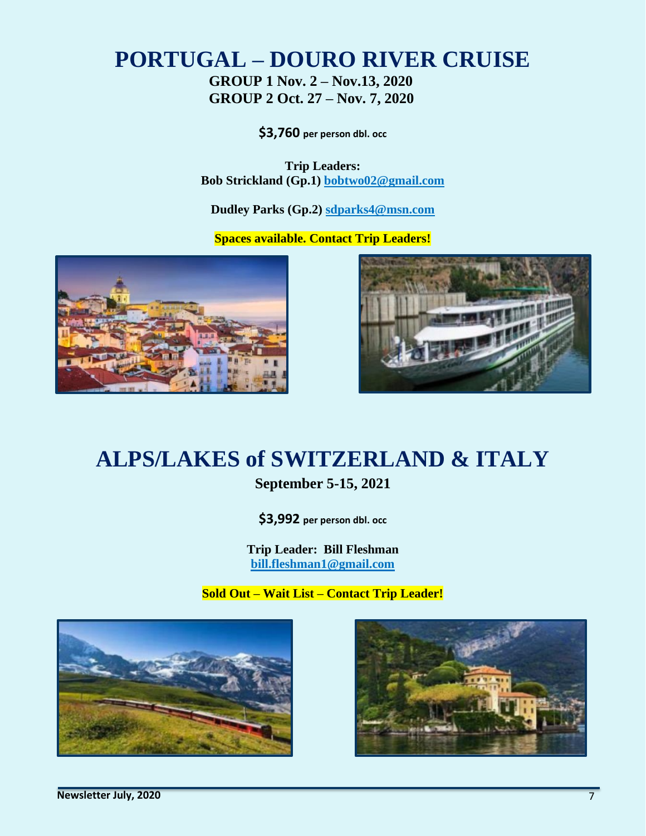# **PORTUGAL – DOURO RIVER CRUISE**

**GROUP 1 Nov. 2 – Nov.13, 2020 GROUP 2 Oct. 27 – Nov. 7, 2020**

**\$3,760 per person dbl. occ**

**Trip Leaders: Bob Strickland (Gp.1) [bobtwo02@gmail.com](mailto:bobtwo02@gmail.com)**

**Dudley Parks (Gp.2) [sdparks4@msn.com](mailto:sdparks4@msn.com)**

**Spaces available. Contact Trip Leaders!** 





# **ALPS/LAKES of SWITZERLAND & ITALY**

#### **September 5-15, 2021**

**\$3,992 per person dbl. occ**

**Trip Leader: Bill Fleshman [bill.fleshman1@gmail.com](mailto:bill.feshman1@gmail.com)**

**Sold Out – Wait List – Contact Trip Leader!**



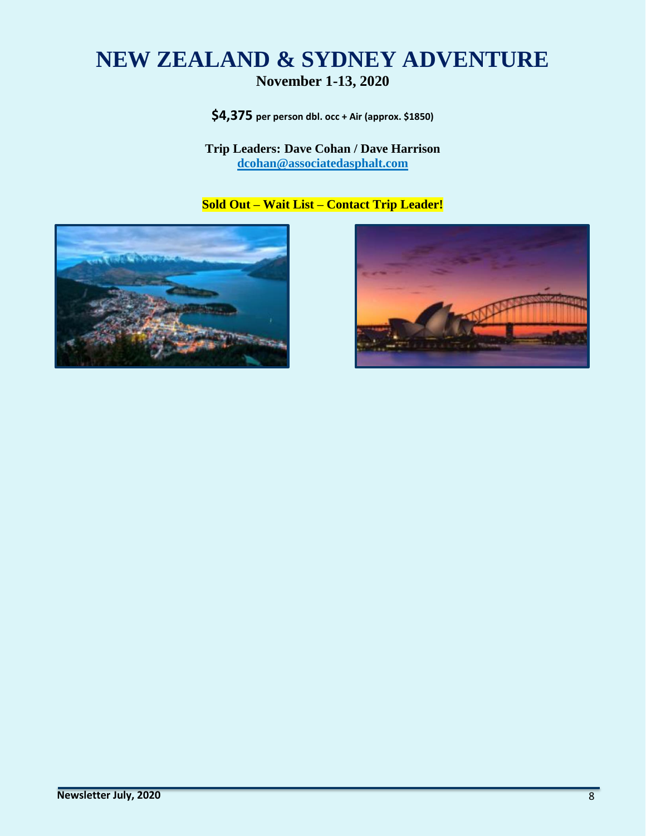# **NEW ZEALAND & SYDNEY ADVENTURE November 1-13, 2020**

**\$4,375 per person dbl. occ + Air (approx. \$1850)**

#### **Trip Leaders: Dave Cohan / Dave Harrison [dcohan@associatedasphalt.com](mailto:dcohan@associatedasphalt.com)**

**Sold Out – Wait List – Contact Trip Leader!**



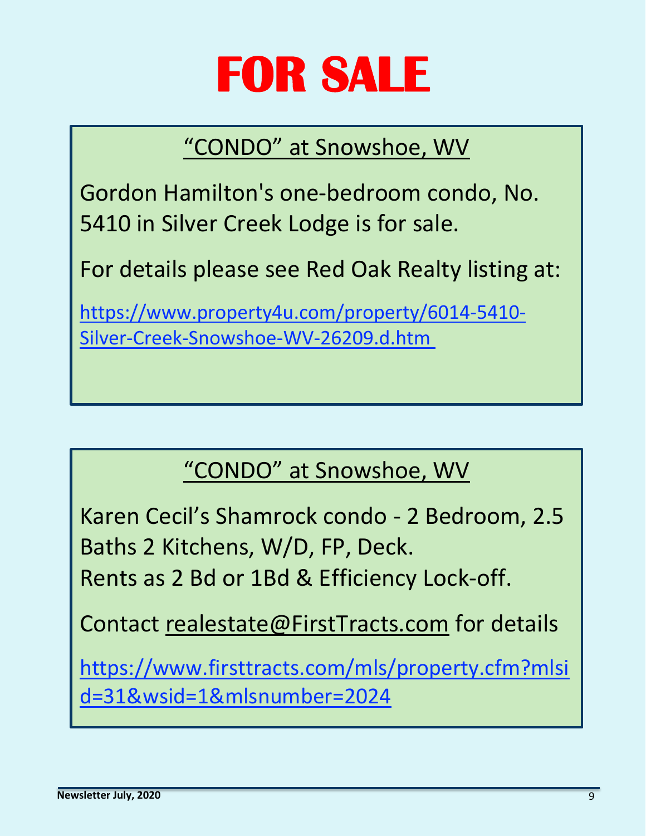# **FOR SALE**

# "CONDO" at Snowshoe, WV

Gordon Hamilton's one-bedroom condo, No. 5410 in Silver Creek Lodge is for sale.

For details please see Red Oak Realty listing at:

[https://www.property4u.com/property/6014-5410-](https://www.property4u.com/property/6014-5410-Silver-Creek-Snowshoe-WV-26209.d.htm) [Silver-Creek-Snowshoe-WV-26209.d.htm](https://www.property4u.com/property/6014-5410-Silver-Creek-Snowshoe-WV-26209.d.htm)

# "CONDO" at Snowshoe, WV

Karen Cecil's Shamrock condo - 2 Bedroom, 2.5 Baths 2 Kitchens, W/D, FP, Deck. Rents as 2 Bd or 1Bd & Efficiency Lock-off.

Contact [realestate@FirstTracts.com](mailto:realestate@FirstTracts.com) for details

[https://www.firsttracts.com/mls/property.cfm?mlsi](https://www.firsttracts.com/mls/property.cfm?mlsid=31&wsid=1&mlsnumber=2024) [d=31&wsid=1&mlsnumber=2024](https://www.firsttracts.com/mls/property.cfm?mlsid=31&wsid=1&mlsnumber=2024)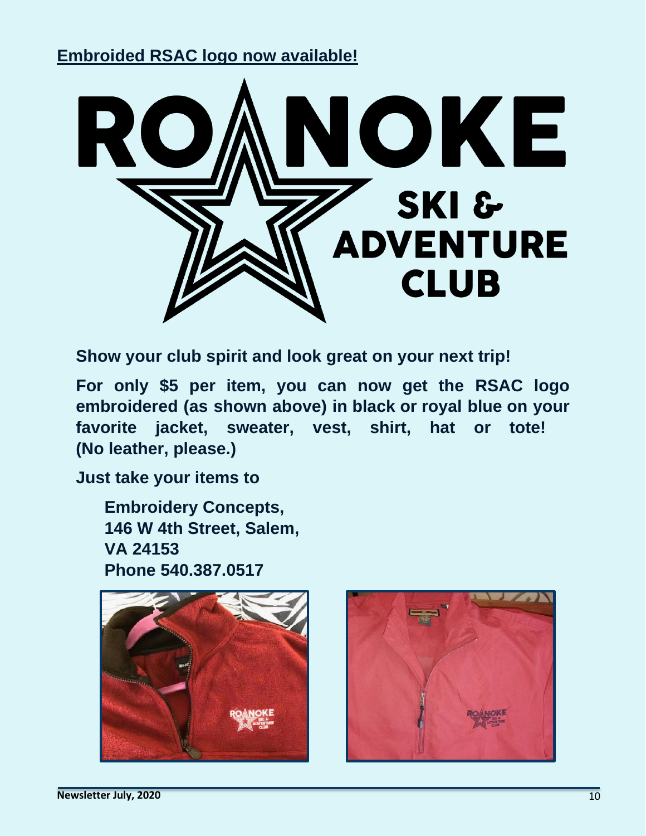## **Embroided RSAC logo now available!**



**Show your club spirit and look great on your next trip!**

**For only \$5 per item, you can now get the RSAC logo embroidered (as shown above) in black or royal blue on your favorite jacket, sweater, vest, shirt, hat or tote! (No leather, please.)**

**Just take your items to**

**Embroidery Concepts, 146 W 4th Street, Salem, VA 24153 Phone 540.387.0517**



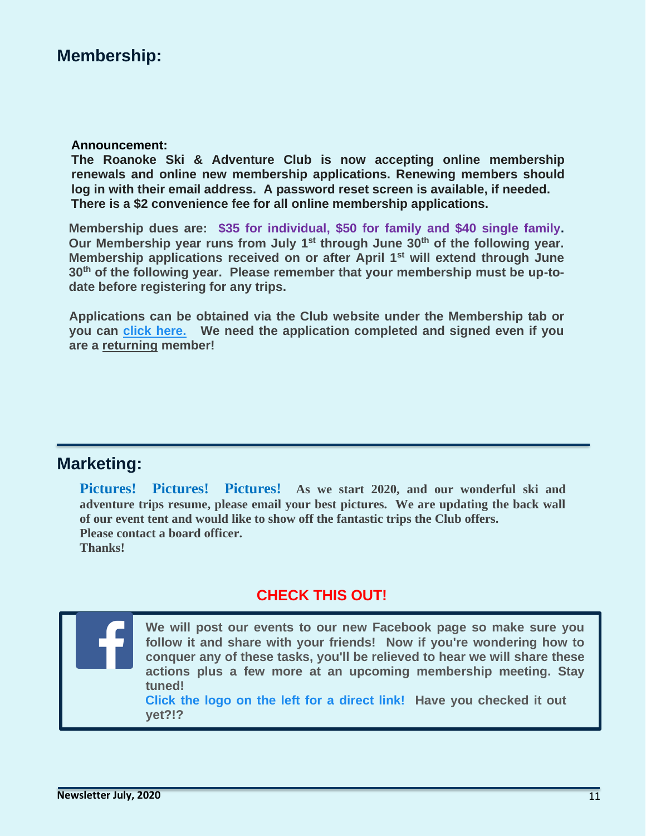## **Membership:**

#### **Announcement:**

**The Roanoke Ski & Adventure Club is now accepting online membership renewals and online new membership applications. Renewing members should log in with their email address. A password reset screen is available, if needed. There is a \$2 convenience fee for all online membership applications.**

**Membership dues are: \$35 for individual, \$50 for family and \$40 single family. Our Membership year runs from July 1st through June 30th of the following year. Membership applications received on or after April 1st will extend through June 30th of the following year. Please remember that your membership must be up-todate before registering for any trips.**

**Applications can be obtained via the Club website under the Membership tab or you can [click here.](https://roanokeskiclub.org/membership) We need the application completed and signed even if you are a returning member!**

#### **Marketing:**

**Pictures! Pictures! Pictures! As we start 2020, and our wonderful ski and adventure trips resume, please email your best pictures. We are updating the back wall of our event tent and would like to show off the fantastic trips the Club offers. Please contact a board officer. Thanks!**

#### **CHECK THIS OUT!**

**We will post our events to our new Facebook page so make sure you follow it and share with your friends! Now if you're wondering how to conquer any of these tasks, you'll be relieved to hear we will share these actions plus a few more at an upcoming membership meeting. Stay tuned! Click the logo on the left for a direct link! Have you checked it out** 

**yet?!?**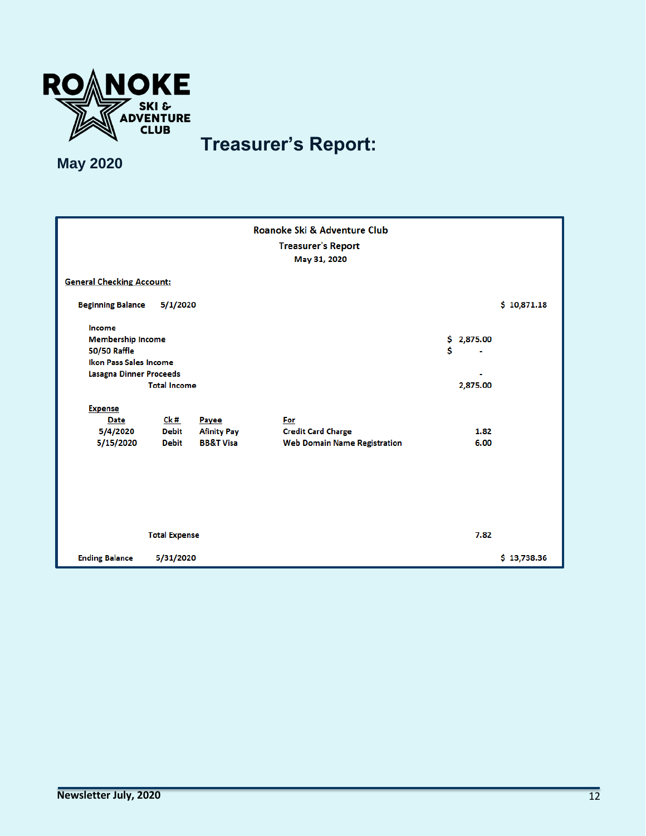

# **Treasurer's Report:**

**May 2020**

| Roanoke Ski & Adventure Club     |                     |                      |                                     |   |            |             |  |
|----------------------------------|---------------------|----------------------|-------------------------------------|---|------------|-------------|--|
| <b>Treasurer's Report</b>        |                     |                      |                                     |   |            |             |  |
|                                  |                     |                      | May 31, 2020                        |   |            |             |  |
|                                  |                     |                      |                                     |   |            |             |  |
| <b>General Checking Account:</b> |                     |                      |                                     |   |            |             |  |
| <b>Beginning Balance</b>         | 5/1/2020            |                      |                                     |   |            | \$10,871.18 |  |
| Income                           |                     |                      |                                     |   |            |             |  |
| <b>Membership Income</b>         |                     |                      |                                     |   | \$2,875.00 |             |  |
| <b>50/50 Raffle</b>              |                     |                      |                                     | Ś |            |             |  |
| <b>Ikon Pass Sales Income</b>    |                     |                      |                                     |   |            |             |  |
| <b>Lasagna Dinner Proceeds</b>   |                     |                      |                                     |   |            |             |  |
|                                  | <b>Total Income</b> |                      |                                     |   | 2,875.00   |             |  |
| <b>Expense</b>                   |                     |                      |                                     |   |            |             |  |
| Date                             | Ck #                | Payee                | For                                 |   |            |             |  |
| 5/4/2020                         | <b>Debit</b>        | <b>Afinity Pay</b>   | <b>Credit Card Charge</b>           |   | 1.82       |             |  |
| 5/15/2020                        | <b>Debit</b>        | <b>BB&amp;T Visa</b> | <b>Web Domain Name Registration</b> |   | 6.00       |             |  |
|                                  |                     |                      |                                     |   |            |             |  |
|                                  |                     |                      |                                     |   |            |             |  |
|                                  |                     |                      |                                     |   |            |             |  |
|                                  |                     |                      |                                     |   |            |             |  |
|                                  |                     |                      |                                     |   |            |             |  |
|                                  |                     |                      |                                     |   |            |             |  |
|                                  |                     |                      |                                     |   |            |             |  |
| <b>Total Expense</b>             |                     |                      |                                     |   | 7.82       |             |  |
| <b>Ending Balance</b>            | 5/31/2020           |                      |                                     |   |            | \$13,738.36 |  |